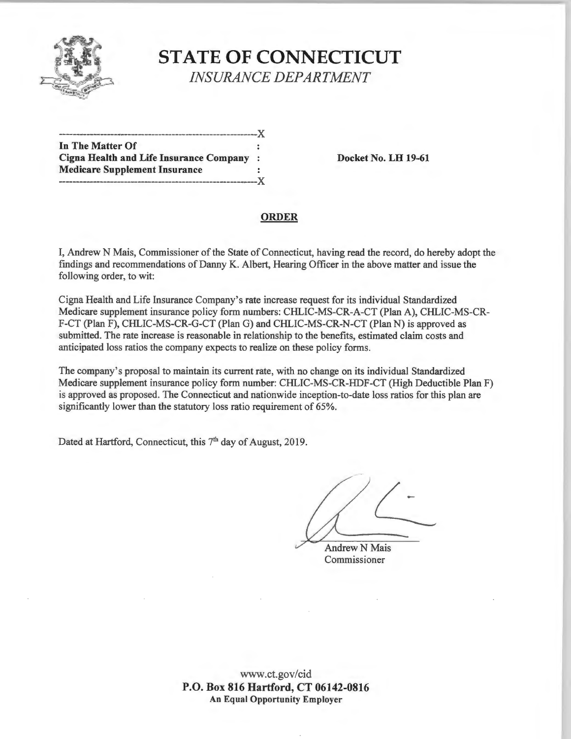

## **STATE OF CONNECTICUT**  *INSURANCE DEPARTMENT*

----------------------------------------------------------)( **In The Matter Of Cigna Health and Life Insurance Company** : **Docket No. LH 19-61 Medicare Supplement Insurance**  ----------------------------------------------------------)(

#### **ORDER**

I, Andrew N Mais, Commissioner of the State of Connecticut, having read the record, do hereby adopt the findings and recommendations of Danny K. Albert, Hearing Officer in the above matter and issue the following order, to wit:

Cigna Health and Life Insurance Company's rate increase request for its individual Standardized Medicare supplement insurance policy form numbers: CHLIC-MS-CR-A-CT (Plan A), CHLIC-MS-CR-F-CT (Plan F), CHLIC-MS-CR-G-CT (Plan G) and CHLIC-MS-CR-N-CT (Plan N) is approved as submitted. The rate increase is reasonable in relationship to the benefits, estimated claim costs and anticipated loss ratios the company expects to realize on these policy forms.

The company's proposal to maintain its current rate, with no change on its individual Standardized Medicare supplement insurance policy form number: CHLIC-MS-CR-HDF-CT (High Deductible Plan F) is approved as proposed. The Connecticut and nationwide inception-to-date loss ratios for this plan are significantly lower than the statutory loss ratio requirement of 65%.

Dated at Hartford, Connecticut, this 7<sup>th</sup> day of August, 2019.

**Andrew N Mais** Commissioner

www.ct.gov/cid **P.O. Box 816 Hartford, CT 06142-0816 An Equal Opportunity Employer**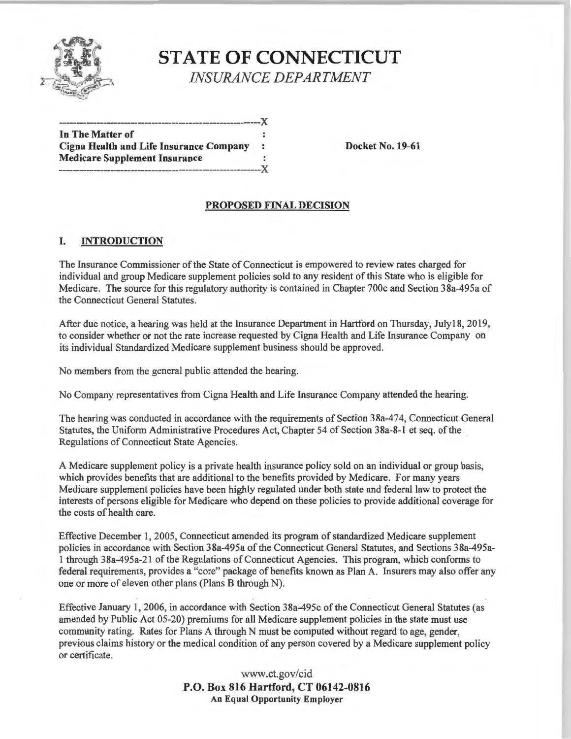

# **STATE OF CONNECTICUT**  *INSURANCE DEPARTMENT*

| In The Matter of                               |         |
|------------------------------------------------|---------|
| <b>Cigna Health and Life Insurance Company</b> | $\cdot$ |
| <b>Medicare Supplement Insurance</b>           |         |

**Docket No. 19-61** 

### **PROPOSED FINAL DECISION**

#### **I. INTRODUCTION**

The Insurance Commissioner of the State of Connecticut is empowered to review rates charged for individual and group Medicare supplement policies sold to any resident of this State who is eligible for Medicare. The source for this regulatory authority is contained in Chapter 700c and Section 38a-495a of the Connecticut General Statutes.

After due notice, a hearing was held at the Insurance Department in Hartford on Thursday, July 18, 2019, to consider whether or not the rate increase requested by Cigna Health and Life Insurance Company on its individual Standardized Medicare supplement business should be approved.

No members from the general public attended the hearing.

No Company representatives from Cigna Health and Life Insurance Company attended the hearing.

The hearing was conducted in accordance with the requirements of Section 38a-474, Connecticut General Statutes, the Uniform Administrative Procedures Act, Chapter 54 of Section 3 8a-8-l et seq. of the Regulations of Connecticut State Agencies.

A Medicare supplement policy is a private health insurance policy sold on an individual or group basis, which provides benefits that are additional to the benefits provided by Medicare. For many years Medicare supplement policies have been highly regulated under both state and federal law to protect the interests of persons eligible for Medicare who depend on these policies to provide additional coverage for the costs of health care.

Effective December 1, 2005, Connecticut amended its program of standardized Medicare supplement policies in accordance with Section 38a-495a of the Connecticut General Statutes, and Sections 38a-495a-1 through 38a-495a-21 of the Regulations of Connecticut Agencies. This program, which conforms to federal requirements, provides a "core" package of benefits known as Plan A. Insurers may also offer any one or more of eleven other plans (Plans B through N).

Effective January 1, 2006, in accordance with Section 38a-495c of the Connecticut General Statutes (as amended by Public Act 05-20) premiums for all Medicare supplement policies in the state must use community rating. Rates for Plans A through N must be computed without regard to age, gender, previous claims history or the medical condition of any person covered by a Medicare supplement policy or certificate.

> www.ct.gov/cid **P.O. Box 816 Hartford, CT 06142-0816 An Equal Opportunity Employer**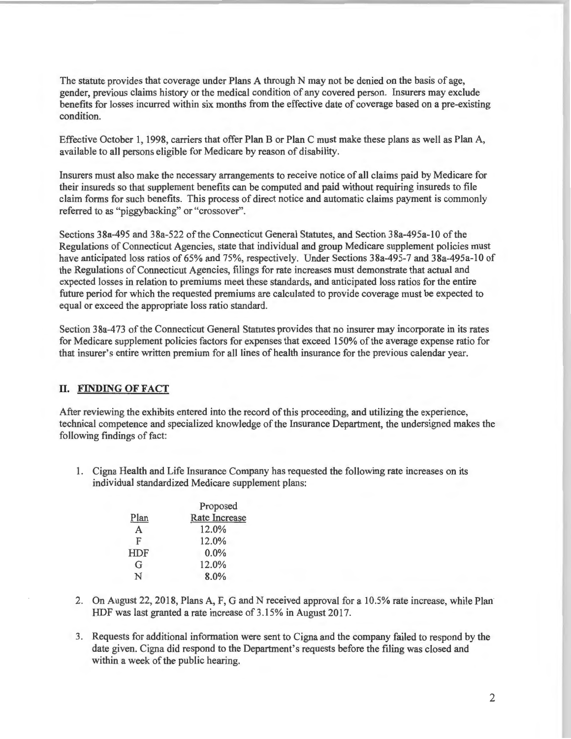The statute provides that coverage under Plans A through N may not be denied on the basis of age, gender, previous claims history or the medical condition of any covered person. Insurers may exclude benefits for losses incurred within six months from the effective date of coverage based on a pre-existing condition.

Effective October 1, 1998, carriers that offer Plan B or Plan C must make these plans as well as Plan A, available to all persons eligible for Medicare by reason of disability.

Insurers must also make the necessary arrangements to receive notice of all claims paid by Medicare for their insureds so that supplement benefits can be computed and paid without requiring insureds to file claim forms for such benefits. This process of direct notice and automatic claims payment is commonly referred to as "piggybacking" or "crossover".

Sections 38a-495 and 38a-522 of the Connecticut General Statutes, and Section 38a-495a-10 of the Regulations of Connecticut Agencies, state that individual and group Medicare supplement policies must have anticipated loss ratios of 65% and 75%, respectively. Under Sections 38a-495-7 and 38a-495a-10 of the Regulations of Connecticut Agencies, filings for rate increases must demonstrate that actual and expected losses in relation to premiums meet these standards, and anticipated loss ratios for the entire future period for which the requested premiums are calculated to provide coverage must be expected to equal or exceed the appropriate loss ratio standard.

Section 38a-473 of the Connecticut General Statutes provides that no insurer may incorporate in its rates for Medicare supplement policies factors for expenses that exceed 150% of the average expense ratio for that insurer's entire written premium for all lines of health insurance for the previous calendar year.

### II. **FINDING OF FACT**

After reviewing the exhibits entered into the record of this proceeding, and utilizing the experience, technical competence and specialized knowledge of the Insurance Department, the undersigned makes the following findings of fact:

1. Cigna Health and Life Insurance Company has requested the following rate increases on its individual standardized Medicare supplement plans:

|            | Proposed             |  |
|------------|----------------------|--|
| Plan       | <b>Rate Increase</b> |  |
| A          | 12.0%                |  |
| F          | 12.0%                |  |
| <b>HDF</b> | $0.0\%$              |  |
| G          | 12.0%                |  |
| N          | 8.0%                 |  |
|            |                      |  |

- 2. On August 22, 2018, Plans A, F, G and N received approval for a 10.5% rate increase, while Plan HDF was last granted a rate increase of 3 .15% in August 2017.
- 3. Requests for additional information were sent to Cigna and the company failed to respond by the date given. Cigna did respond to the Department's requests before the filing was closed and within a week of the public hearing.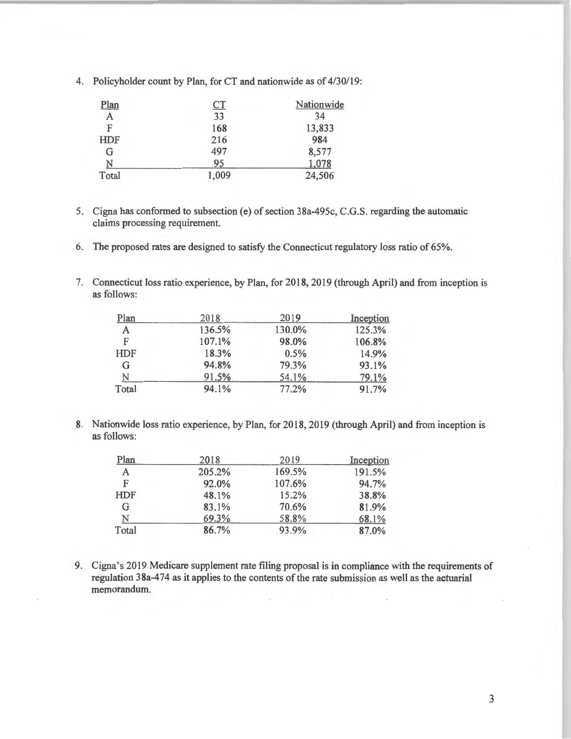| <u>Plan</u> | CT    | Nationwide |
|-------------|-------|------------|
| A           | 33    | 34         |
| F           | 168   | 13,833     |
| <b>HDF</b>  | 216   | 984        |
| G           | 497   | 8,577      |
| Ń           | 95    | 1,078      |
| Total       | 1,009 | 24,506     |

4. Policyholder count by Plan, for CT and nationwide as of 4/30/19:

- 5. Cigna has conformed to subsection (e) of section 38a-495c, C.G.S. regarding the automatic claims processing requirement.
- 6. The proposed rates are designed to satisfy the Connecticut regulatory loss ratio of 65%.
- 7. Connecticut loss ratio experience, by Plan, for 2018, 2019 (through April) and from inception is as follows:

| Plan       | 2018   | 2019   | Inception |
|------------|--------|--------|-----------|
| A          | 136.5% | 130.0% | 125.3%    |
| F          | 107.1% | 98.0%  | 106.8%    |
| <b>HDF</b> | 18.3%  | 0.5%   | 14.9%     |
| G          | 94.8%  | 79.3%  | 93.1%     |
| N          | 91.5%  | 54.1%  | 79.1%     |
| Total      | 94.1%  | 77.2%  | 91.7%     |

8. Nationwide loss ratio experience, by Plan, for 2018, 2019 (through April) and from inception is as follows:

| Plan  | 2018   | 2019   | Inception |
|-------|--------|--------|-----------|
| A     | 205.2% | 169.5% | 191.5%    |
| F     | 92.0%  | 107.6% | 94.7%     |
| HDF   | 48.1%  | 15.2%  | 38.8%     |
| G     | 83.1%  | 70.6%  | 81.9%     |
| N     | 69.3%  | 58.8%  | 68.1%     |
| Total | 86.7%  | 93.9%  | 87.0%     |

9. Cigna's 2019 Medicare supplement rate filing proposal is in compliance with the requirements of regulation 38a-474 as it applies to the contents of the rate submission as well as the actuarial memorandum.